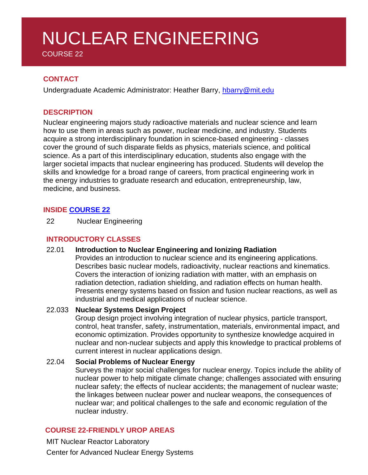# NUCLEAR ENGINEERING

COURSE 22

# **CONTACT**

Undergraduate Academic Administrator: Heather Barry, [hbarry@mit.edu](mailto:hbarry@mit.edu)

## **DESCRIPTION**

Nuclear engineering majors study radioactive materials and nuclear science and learn how to use them in areas such as power, nuclear medicine, and industry. Students acquire a strong interdisciplinary foundation in science-based engineering - classes cover the ground of such disparate fields as physics, materials science, and political science. As a part of this interdisciplinary education, students also engage with the larger societal impacts that nuclear engineering has produced. Students will develop the skills and knowledge for a broad range of careers, from practical engineering work in the energy industries to graduate research and education, entrepreneurship, law, medicine, and business.

# **INSIDE [COURSE](https://web.mit.edu/nse/education/undergrad/curriculum.html) 22**

22 Nuclear Engineering

## **INTRODUCTORY CLASSES**

#### 22.01 **Introduction to Nuclear Engineering and Ionizing Radiation**

Provides an introduction to nuclear science and its engineering applications. Describes basic nuclear models, radioactivity, nuclear reactions and kinematics. Covers the interaction of ionizing radiation with matter, with an emphasis on radiation detection, radiation shielding, and radiation effects on human health. Presents energy systems based on fission and fusion nuclear reactions, as well as industrial and medical applications of nuclear science.

## 22.033 **Nuclear Systems Design Project**

Group design project involving integration of nuclear physics, particle transport, control, heat transfer, safety, instrumentation, materials, environmental impact, and economic optimization. Provides opportunity to synthesize knowledge acquired in nuclear and non-nuclear subjects and apply this knowledge to practical problems of current interest in nuclear applications design.

#### 22.04 **Social Problems of Nuclear Energy**

Surveys the major social challenges for nuclear energy. Topics include the ability of nuclear power to help mitigate climate change; challenges associated with ensuring nuclear safety; the effects of nuclear accidents; the management of nuclear waste; the linkages between nuclear power and nuclear weapons, the consequences of nuclear war; and political challenges to the safe and economic regulation of the nuclear industry.

## **COURSE 22-FRIENDLY UROP AREAS**

MIT Nuclear Reactor Laboratory Center for Advanced Nuclear Energy Systems